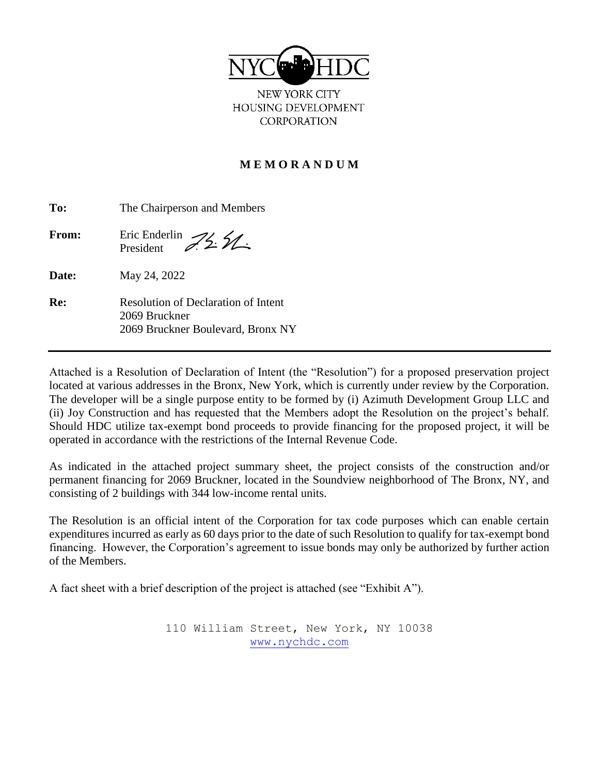

NEW YORK CITY HOUSING DEVELOPMENT **CORPORATION** 

### **M E M O R A N D U M**

| To:   | The Chairperson and Members                                                               |  |
|-------|-------------------------------------------------------------------------------------------|--|
| From: | Fric Enderlin<br>President 22 2                                                           |  |
| Date: | May 24, 2022                                                                              |  |
| Re:   | Resolution of Declaration of Intent<br>2069 Bruckner<br>2069 Bruckner Boulevard, Bronx NY |  |

Attached is a Resolution of Declaration of Intent (the "Resolution") for a proposed preservation project located at various addresses in the Bronx, New York, which is currently under review by the Corporation. The developer will be a single purpose entity to be formed by (i) Azimuth Development Group LLC and (ii) Joy Construction and has requested that the Members adopt the Resolution on the project's behalf. Should HDC utilize tax-exempt bond proceeds to provide financing for the proposed project, it will be operated in accordance with the restrictions of the Internal Revenue Code.

As indicated in the attached project summary sheet, the project consists of the construction and/or permanent financing for 2069 Bruckner, located in the Soundview neighborhood of The Bronx, NY, and consisting of 2 buildings with 344 low-income rental units.

The Resolution is an official intent of the Corporation for tax code purposes which can enable certain expenditures incurred as early as 60 days prior to the date of such Resolution to qualify for tax-exempt bond financing. However, the Corporation's agreement to issue bonds may only be authorized by further action of the Members.

A fact sheet with a brief description of the project is attached (see "Exhibit A").

110 William Street, New York, NY 10038 [www.nychdc.com](http://www.nychdc.com/)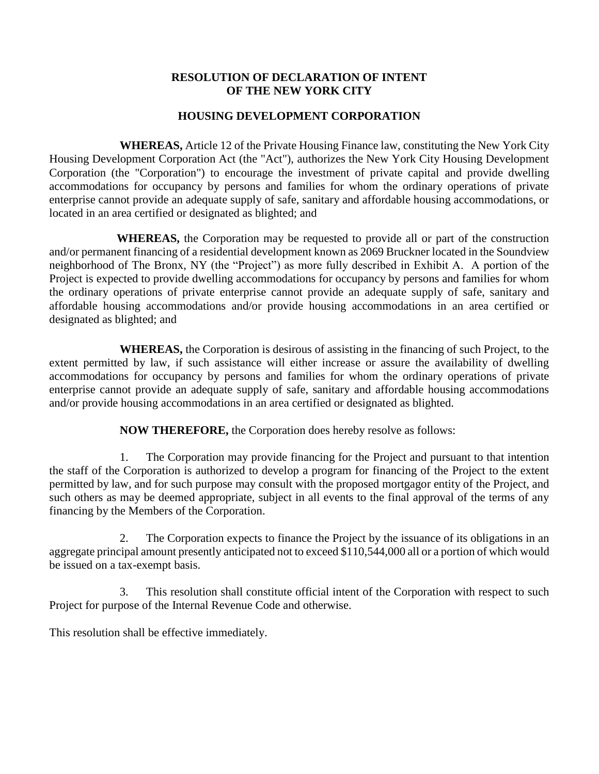#### **RESOLUTION OF DECLARATION OF INTENT OF THE NEW YORK CITY**

#### **HOUSING DEVELOPMENT CORPORATION**

**WHEREAS,** Article 12 of the Private Housing Finance law, constituting the New York City Housing Development Corporation Act (the "Act"), authorizes the New York City Housing Development Corporation (the "Corporation") to encourage the investment of private capital and provide dwelling accommodations for occupancy by persons and families for whom the ordinary operations of private enterprise cannot provide an adequate supply of safe, sanitary and affordable housing accommodations, or located in an area certified or designated as blighted; and

 **WHEREAS,** the Corporation may be requested to provide all or part of the construction and/or permanent financing of a residential development known as 2069 Bruckner located in the Soundview neighborhood of The Bronx, NY (the "Project") as more fully described in Exhibit A. A portion of the Project is expected to provide dwelling accommodations for occupancy by persons and families for whom the ordinary operations of private enterprise cannot provide an adequate supply of safe, sanitary and affordable housing accommodations and/or provide housing accommodations in an area certified or designated as blighted; and

**WHEREAS,** the Corporation is desirous of assisting in the financing of such Project, to the extent permitted by law, if such assistance will either increase or assure the availability of dwelling accommodations for occupancy by persons and families for whom the ordinary operations of private enterprise cannot provide an adequate supply of safe, sanitary and affordable housing accommodations and/or provide housing accommodations in an area certified or designated as blighted.

**NOW THEREFORE,** the Corporation does hereby resolve as follows:

1. The Corporation may provide financing for the Project and pursuant to that intention the staff of the Corporation is authorized to develop a program for financing of the Project to the extent permitted by law, and for such purpose may consult with the proposed mortgagor entity of the Project, and such others as may be deemed appropriate, subject in all events to the final approval of the terms of any financing by the Members of the Corporation.

2. The Corporation expects to finance the Project by the issuance of its obligations in an aggregate principal amount presently anticipated not to exceed \$110,544,000 all or a portion of which would be issued on a tax-exempt basis.

3. This resolution shall constitute official intent of the Corporation with respect to such Project for purpose of the Internal Revenue Code and otherwise.

This resolution shall be effective immediately.